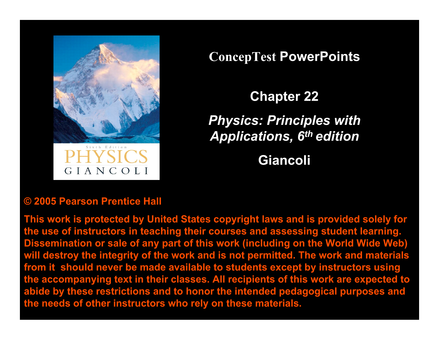

GIANCOLI

**ConcepTest PowerPoints**

**Chapter 22**

*Physics: Principles with Applications, 6th edition*

**Giancoli**

### **© 2005 Pearson Prentice Hall**

**This work is protected by United States copyright laws and is provided solely for the use of instructors in teaching their courses and assessing student learning. Dissemination or sale of any part of this work (including on the World Wide Web) will destroy the integrity of the work and is not permitted. The work and materials from it should never be made available to students except by instructors using the accompanying text in their classes. All recipients of this work are expected to abide by these restrictions and to honor the intended pedagogical purposes and the needs of other instructors who rely on these materials.**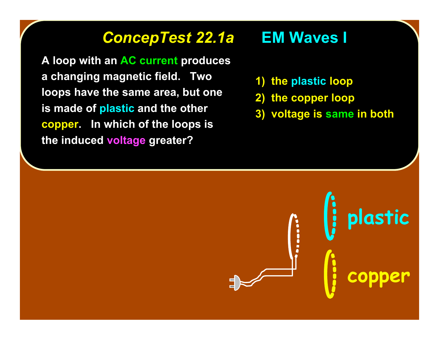# *ConcepTest 22.1a ConcepTest 22.1a* **EM Waves I EM Waves I**

**A loop with an AC current produces a changing magnetic field. Two loops have the same area, but one is made of plastic and the other copper. In which of the loops is the induced voltage greater?**

- **1) the plastic loop**
- **2) the copper loop**
- **3) voltage is same in both**

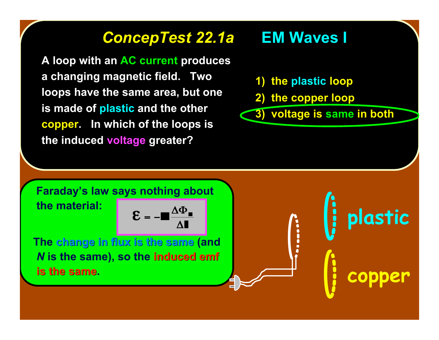# *ConcepTest 22.1a ConcepTest 22.1a* **EM Waves I EM Waves I**

**A loop with an AC current produces a changing magnetic field. Two loops have the same area, but one is made of plastic and the other copper. In which of the loops is the induced voltage greater?**

### **1) the plastic loop**

**2) the copper loop**

**3) voltage is same in both**

 **Faraday's law says nothing about the material:**

 **The change in flux is the same change in flux is the same (and** *N* **is the same), so the induced emf induced emf is the same.** 

**plastic** I **copper**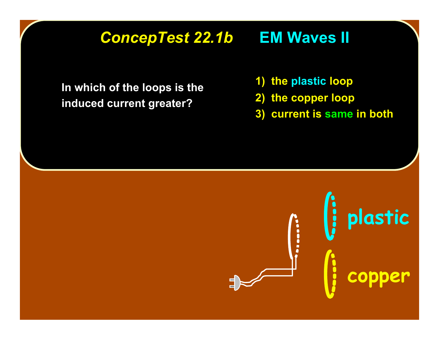### *ConcepTest 22.1b ConcepTest 22.1b* **EM Waves II EM Waves II**

**In which of the loops is the induced current greater?**

- **1) the plastic loop**
- **2) the copper loop**
- **3) current is same in both**

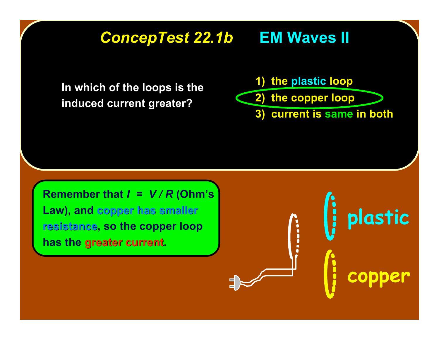### *ConcepTest 22.1b ConcepTest 22.1b* **EM Waves II EM Waves II**

**In which of the loops is the induced current greater?**

**1) the plastic loop 2) the copper loop**

**3) current is same in both**

i

**plastic**

**copper**

**Remember that** *I = V / R* **(Ohm's Law), and copper has smaller has smaller resistance resistance, so the copper loop** has the greater current.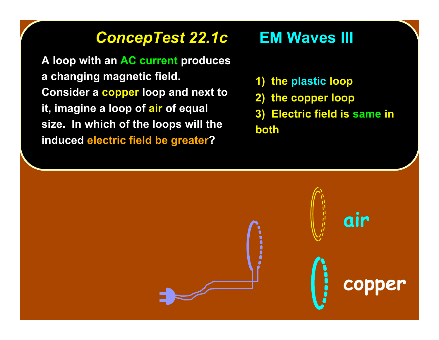### *ConcepTest 22.1c ConcepTest 22.1c* **EM Waves III EM Waves III**

**A loop with an AC current produces a changing magnetic field. Consider a copper loop and next to it, imagine a loop of air of equal size. In which of the loops will the induced electric field be greater?**

- **1) the plastic loop**
- **2) the copper loop**
- **3) Electric field is same in both**

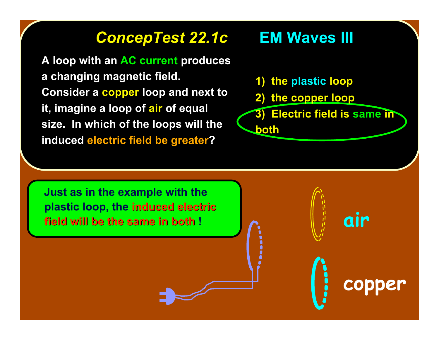### *ConcepTest 22.1c ConcepTest 22.1c* **EM Waves III EM Waves III**

**A loop with an AC current produces a changing magnetic field. Consider a copper loop and next to it, imagine a loop of air of equal size. In which of the loops will the induced electric field be greater?**

- **1) the plastic loop**
- **2) the copper loop**
- **3) Electric field is same in both**

 **Just as in the example with the plastic loop, the induced electric induced electric field will be the same in both !** 

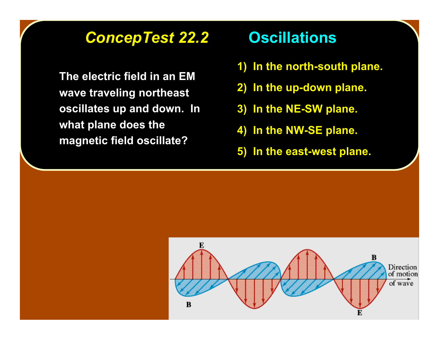### *ConcepTest 22.2 ConcepTest 22.2* **Oscillations Oscillations**

**The electric field in an EM wave traveling northeast wave traveling northeast oscillates up and down. In oscillates up and down. In what plane does the what plane does the magnetic field oscillate? magnetic field oscillate?**

- **1) In the north-south plane.**
- **2) In the up-down plane. In the up-down plane.**
- **3) In the NE-SW plane. In the NE-SW plane.**
- **4) In the NW-SE plane. 4) In the NW-SE plane.**
- **5) In the east-west plane. 5) In the east-west plane.**

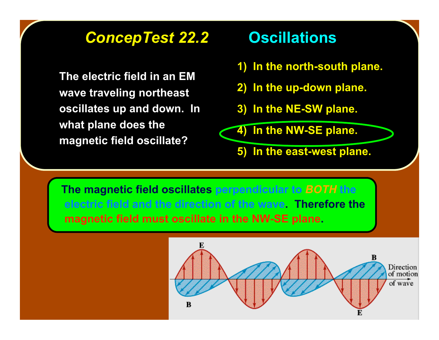### *ConcepTest 22.2 ConcepTest 22.2* **Oscillations Oscillations**

**The electric field in an EM wave traveling northeast wave traveling northeast oscillates up and down. In oscillates up and down. In what plane does the what plane does the magnetic field oscillate? magnetic field oscillate?**

- **1) In the north-south plane.**
- **2) In the up-down plane. In the up-down plane.**
- **3) In the NE-SW plane. In the NE-SW plane.**

**4) In the NW-SE plane. 4) In the NW-SE plane.**

**5) In the east-west plane. 5) In the east-west plane.**

 **The magnetic field oscillates perpendicular to** *BOTH* **the electric field and the direction of the wave. Therefore the magnetic field must oscillate in the NW-SE plane.**

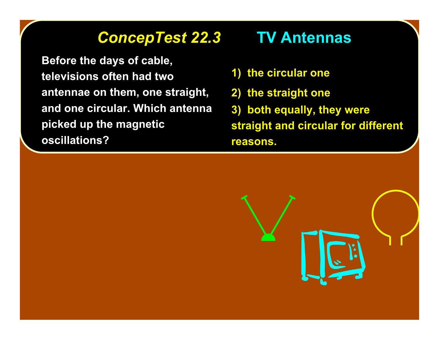### *ConcepTest 22.3 ConcepTest 22.3* **TV Antennas TV Antennas**

**Before the days of cable, televisions often had two antennae on them, one straight, and one circular. Which antenna picked up the magnetic oscillations?**

- **1) the circular one the circular one**
- **2) the straight one**
- **3) both equally, they were both equally, they were straight and circular for different straight and circular for different reasons. reasons.**

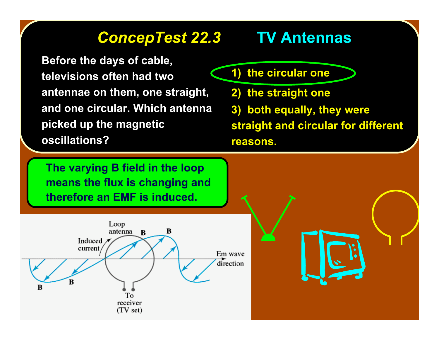### *ConcepTest 22.3 ConcepTest 22.3* **TV Antennas TV Antennas**

**Before the days of cable, televisions often had two antennae on them, one straight, and one circular. Which antenna picked up the magnetic oscillations?**

- **1) the circular one**
- **2) the straight one**
- **3) both equally, they were both equally, they were**

**straight and circular for different straight and circular for different reasons. reasons.**

**The varying B field in the loop means the flux is changing and therefore an EMF is induced.**

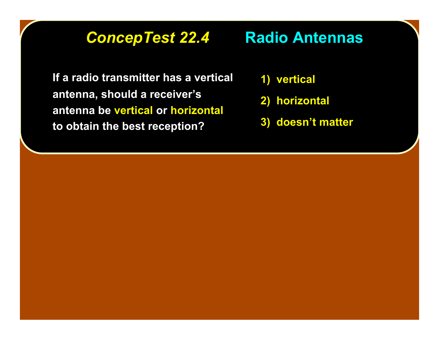### **ConcepTest 22.4 Radio Antennas**

**If a radio transmitter has a vertical If a radio transmitter has a vertical antenna, should a receiver antenna, should a receiver's antenna be vertical or horizontal to obtain the best reception? to obtain the best reception?**

- **1) vertical vertical**
- **2) horizontal horizontal**
- **3) doesn't matter**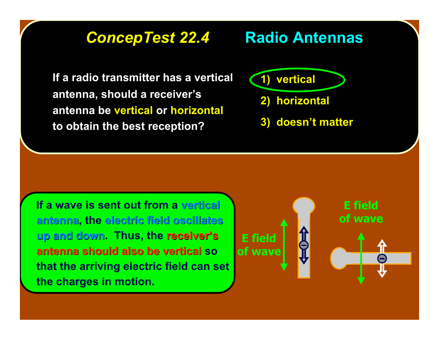# **ConcepTest 22.4 Radio Antennas**

**If a radio transmitter has a vertical If a radio transmitter has a vertical antenna, should a receiver antenna, should a receiver's antenna be vertical or horizontal to obtain the best reception? to obtain the best reception?**

**1) vertical vertical**

- **2) horizontal horizontal**
- **3) doesn't matter**

 **If a wave is sent out from a vertical vertical antenna antenna, the electric field oscillates electric field oscillates up and down up and down. Thus, the receiver receiver's antenna should also be antenna should also be vertical vertical so that the arriving electric field can set the charges in motion.**

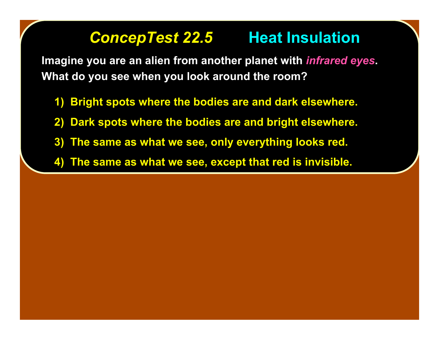### **ConcepTest 22.5 Heat Insulation**

Imagine you are an alien from another planet with *infrared eyes*. **What do you see when you look around the room? What do you see when you look around the room?**

- **1) Bright spots where the bodies are and dark elsewhere.**
- **2) Dark spots where the bodies are and bright elsewhere. 2) Dark spots where the bodies are and bright elsewhere.**
- **3) The same as what we see, only everything looks red. 3) The same as what we see, only everything looks red.**
- **4) The same as what we see, except that red is invisible. 4) The same as what we see, except that red is invisible.**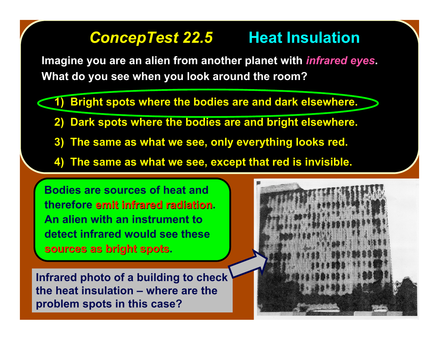### **ConcepTest 22.5 Heat Insulation**

Imagine you are an alien from another planet with *infrared eyes*. **What do you see when you look around the room? What do you see when you look around the room?**

**1) Bright spots where the bodies are and dark elsewhere.** 

- **2) Dark spots where the bodies are and bright elsewhere. 2) Dark spots where the bodies are and bright elsewhere.**
- **3) The same as what we see, only everything looks red. 3) The same as what we see, only everything looks red.**
- **4) The same as what we see, except that red is invisible. 4) The same as what we see, except that red is invisible.**

 **Bodies are sources of heat and therefore emit infrared radiation emit infrared radiation. An alien with an instrument to detect infrared would see these sources as bright spots sources as bright spots.**

**Infrared photo of a building to check the heat insulation – where are the problem spots in this case?**

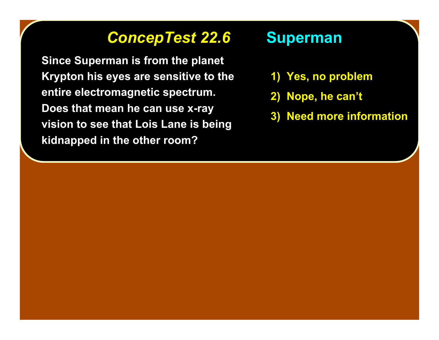### **ConcepTest 22.6 Superman**

**Since Superman is from the planet Since Superman is from the planet Krypton his eyes are sensitive to the Krypton his eyes are sensitive to the entire electromagnetic spectrum. entire electromagnetic spectrum. Does that mean he can use x-ray Does that mean he can use x-ray vision to see that Lois Lane is being vision to see that Lois Lane is being kidnapped in the other room? kidnapped in the other room?**

- **1) Yes, no problem**
- **2) Nope, he can 2) Nope, he can't**
- **3) Need more information 3) Need more information**